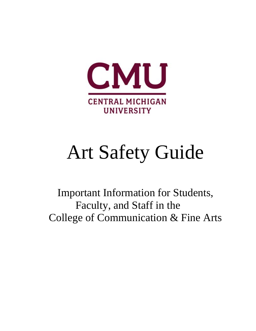

# Art Safety Guide

Important Information for Students, Faculty, and Staff in the College of Communication & Fine Arts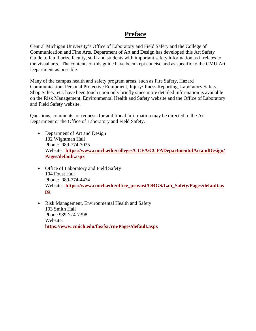### **Preface**

Central Michigan University's Office of Laboratory and Field Safety and the College of Communication and Fine Arts, Department of Art and Design has developed this Art Safety Guide to familiarize faculty, staff and students with important safety information as it relates to the visual arts. The contents of this guide have been kept concise and as specific to the CMU Art Department as possible.

Many of the campus health and safety program areas, such as Fire Safety, Hazard Communication, Personal Protective Equipment, Injury/Illness Reporting, Laboratory Safety, Shop Safety, etc. have been touch upon only briefly since more detailed information is available on the Risk Management, Environmental Health and Safety website and the Office of Laboratory and Field Safety website.

Questions, comments, or requests for additional information may be directed to the Art Department or the Office of Laboratory and Field Safety.

- Department of Art and Design 132 Wightman Hall Phone: 989-774-3025 Website: **[https://www.cmich.edu/colleges/CCFA/CCFADepartmentofArtandDesign/](https://www.cmich.edu/colleges/CCFA/CCFADepartmentofArtandDesign/Pages/default.aspx) [Pages/default.aspx](https://www.cmich.edu/colleges/CCFA/CCFADepartmentofArtandDesign/Pages/default.aspx)**
- Office of Laboratory and Field Safety 104 Foust Hall Phone: 989-774-4474 Website: **[https://www.cmich.edu/office\\_provost/ORGS/Lab\\_Safety/Pages/default.as](https://www.cmich.edu/office_provost/ORGS/Lab_Safety/Pages/default.aspx) [px](https://www.cmich.edu/office_provost/ORGS/Lab_Safety/Pages/default.aspx)**
- Risk Management, Environmental Health and Safety 103 Smith Hall Phone 989-774-7398 Website: **<https://www.cmich.edu/fas/fsr/rm/Pages/default.aspx>**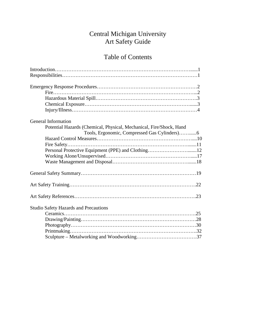# Central Michigan University Art Safety Guide

# Table of Contents

| General Information                                                 |
|---------------------------------------------------------------------|
| Potential Hazards (Chemical, Physical, Mechanical, Fire/Shock, Hand |
|                                                                     |
|                                                                     |
|                                                                     |
| Personal Protective Equipment (PPE) and Clothing12                  |
|                                                                     |
|                                                                     |
|                                                                     |
|                                                                     |
|                                                                     |
| <b>Studio Safety Hazards and Precautions</b>                        |
|                                                                     |
|                                                                     |
|                                                                     |
|                                                                     |
|                                                                     |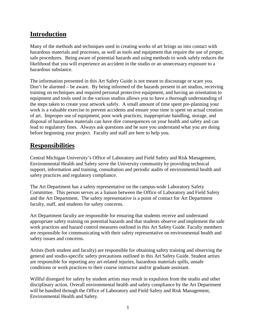# **Introduction**

Many of the methods and techniques used in creating works of art brings us into contact with hazardous materials and processes, as well as tools and equipment that require the use of proper, safe procedures. Being aware of potential hazards and using methods to work safely reduces the likelihood that you will experience an accident in the studio or an unnecessary exposure to a hazardous substance.

The information presented in this Art Safety Guide is not meant to discourage or scare you. Don't be alarmed – be aware. By being informed of the hazards present in art studios, receiving training on techniques and required personal protective equipment, and having an orientation to equipment and tools used in the various studios allows you to have a thorough understanding of the steps taken to create your artwork safely. A small amount of time spent pre-planning your work is a valuable exercise to prevent accidents and ensure your time is spent on actual creation of art. Improper use of equipment, poor work practices, inappropriate handling, storage, and disposal of hazardous materials can have dire consequences on your health and safety and can lead to regulatory fines. Always ask questions and be sure you understand what you are doing before beginning your project. Faculty and staff are here to help you.

### **Responsibilities**

Central Michigan University's Office of Laboratory and Field Safety and Risk Management, Environmental Health and Safety serve the University community by providing technical support, information and training, consultation and periodic audits of environmental health and safety practices and regulatory compliance.

The Art Department has a safety representative on the campus-wide Laboratory Safety Committee. This person serves as a liaison between the Office of Laboratory and Field Safety and the Art Department. The safety representative is a point of contact for Art Department faculty, staff, and students for safety concerns.

Art Department faculty are responsible for ensuring that students receive and understand appropriate safety training on potential hazards and that students observe and implement the safe work practices and hazard control measures outlined in this Art Safety Guide. Faculty members are responsible for communicating with their safety representative on environmental health and safety issues and concerns.

Artists (both student and faculty) are responsible for obtaining safety training and observing the general and studio-specific safety precautions outlined in this Art Safety Guide. Student artists are responsible for reporting any art-related injuries, hazardous materials spills, unsafe conditions or work practices to their course instructor and/or graduate assistant.

Willful disregard for safety by student artists may result in expulsion from the studio and other disciplinary action. Overall environmental health and safety compliance by the Art Department will be handled through the Office of Laboratory and Field Safety and Risk Management, Environmental Health and Safety.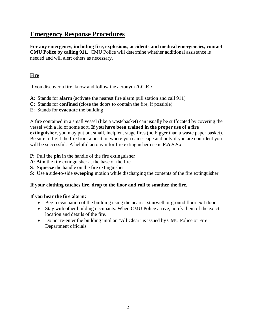### **Emergency Response Procedures**

**For any emergency, including fire, explosions, accidents and medical emergencies, contact CMU Police by calling 911.** CMU Police will determine whether additional assistance is needed and will alert others as necessary.

### **Fire**

If you discover a fire, know and follow the acronym **A.C.E.:**

- **A**: Stands for **alarm** (activate the nearest fire alarm pull station and call 911)
- **C**: Stands for **confined** (close the doors to contain the fire, if possible)
- **E**: Stands for **evacuate** the building

A fire contained in a small vessel (like a wastebasket) can usually be suffocated by covering the vessel with a lid of some sort. **If you have been trained in the proper use of a fire extinguisher**, you may put out small, incipient stage fires (no bigger than a waste paper basket). Be sure to fight the fire from a position where you can escape and only if you are confident you will be successful. A helpful acronym for fire extinguisher use is **P.A.S.S.:** 

- **P**: Pull the **pin** in the handle of the fire extinguisher
- **A**: **Aim** the fire extinguisher at the base of the fire
- **S**: **Squeeze** the handle on the fire extinguisher
- **S**: Use a side-to-side **sweeping** motion while discharging the contents of the fire extinguisher

### **If your clothing catches fire, drop to the floor and roll to smother the fire.**

### **If you hear the fire alarm:**

- Begin evacuation of the building using the nearest stairwell or ground floor exit door.
- Stay with other building occupants. When CMU Police arrive, notify them of the exact location and details of the fire.
- Do not re-enter the building until an "All Clear" is issued by CMU Police or Fire Department officials.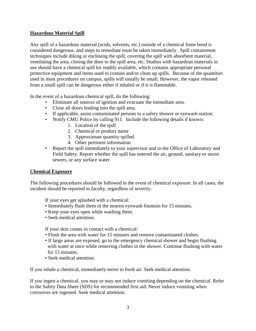### **Hazardous Material Spill**

Any spill of a hazardous material (acids, solvents, etc.) outside of a chemical fume hood is considered dangerous, and steps to remediate must be taken immediately. Spill containment techniques include diking or enclosing the spill, covering the spill with absorbent material, ventilating the area, closing the door to the spill area, etc. Studios with hazardous materials in use should have a chemical spill kit readily available, which contains appropriate personal protective equipment and items used to contain and/or clean up spills. Because of the quantities used in most procedures on campus, spills will usually be small. However, the vapor released from a small spill can be dangerous either if inhaled or if it is flammable.

In the event of a hazardous chemical spill, do the following:

- Eliminate all sources of ignition and evacuate the immediate area.
- Close all doors leading into the spill area.
- If applicable, assist contaminated persons to a safety shower or eyewash station.
- Notify CMU Police by calling 911. Include the following details if known:
	- 1. Location of the spill
	- 2. Chemical or product name
	- 3. Approximate quantity spilled
	- 4. Other pertinent information
- Report the spill immediately to your supervisor and to the Office of Laboratory and Field Safety. Report whether the spill has entered the air, ground, sanitary or storm sewers, or any surface water.

### **Chemical Exposure**

The following procedures should be followed in the event of chemical exposure. In all cases, the incident should be reported to faculty, regardless of severity.

If your eyes get splashed with a chemical:

- Immediately flush them in the nearest eyewash fountain for 15 minutes.
- Keep your eyes open while washing them.
- Seek medical attention.

If your skin comes in contact with a chemical:

- Flush the area with water for 15 minutes and remove contaminated clothes.
- If large areas are exposed, go to the emergency chemical shower and begin flushing with water at once while removing clothes in the shower. Continue flushing with water for 15 minutes.
- Seek medical attention.

If you inhale a chemical, immediately move to fresh air. Seek medical attention.

If you ingest a chemical, you may or may not induce vomiting depending on the chemical. Refer to the Safety Data Sheet (SDS) for recommended first aid. Never induce vomiting when corrosives are ingested. Seek medical attention.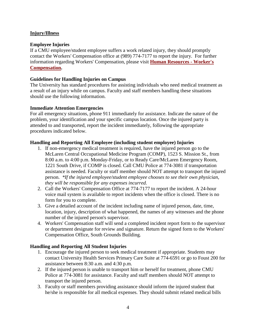### **Injury/Illness**

### **Employee Injuries**

If a CMU employee/student employee suffers a work related injury, they should promptly contact the Workers' Compensation office at (989) 774-7177 to report the injury. For further information regarding Workers' Compensation, please visit **[Human Resources - Worker's](https://www.cmich.edu/fas/hr/HRCentralHealthImprovement/Pages/Workers_Compensation_.aspx)  [Compensation.](https://www.cmich.edu/fas/hr/HRCentralHealthImprovement/Pages/Workers_Compensation_.aspx)** 

### **Guidelines for Handling Injuries on Campus**

The University has standard procedures for assisting individuals who need medical treatment as a result of an injury while on campus. Faculty and staff members handling these situations should use the following information.

#### **Immediate Attention Emergencies**

For all emergency situations, phone 911 immediately for assistance. Indicate the nature of the problem, your identification and your specific campus location. Once the injured party is attended to and transported, report the incident immediately, following the appropriate procedures indicated below.

### **Handling and Reporting All Employee (including student employee) Injuries**

- 1. If non-emergency medical treatment is required, have the injured person go to the McLaren Central Occupational Medicine Program (COMP), 1523 S. Mission St., from 8:00 a.m. to 4:00 p.m. Monday-Friday, or to Ready Care/McLaren Emergency Room, 1221 South Drive, if COMP is closed. Call CMU Police at 774-3081 if transportation assistance is needed. Faculty or staff member should NOT attempt to transport the injured person. *\*If the injured employee/student employee chooses to see their own physician, they will be responsible for any expenses incurred.*
- 2. Call the Workers' Compensation Office at 774-7177 to report the incident. A 24-hour voice mail system is available to report incidents when the office is closed. There is no form for you to complete.
- 3. Give a detailed account of the incident including name of injured person, date, time, location, injury, description of what happened, the names of any witnesses and the phone number of the injured person's supervisor.
- 4. Workers' Compensation staff will send a completed incident report form to the supervisor or department designate for review and signature. Return the signed form to the Workers' Compensation Office, South Grounds Building.

#### **Handling and Reporting All Student Injuries**

- 1. Encourage the injured person to seek medical treatment if appropriate. Students may contact University Health Services Primary Care Suite at 774-6591 or go to Foust 200 for assistance between 8:30 a.m. and 4:30 p.m.
- 2. If the injured person is unable to transport him or herself for treatment, phone CMU Police at 774-3081 for assistance. Faculty and staff members should NOT attempt to transport the injured person.
- 3. Faculty or staff members providing assistance should inform the injured student that he/she is responsible for all medical expenses. They should submit related medical bills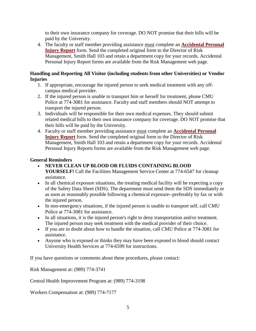to their own insurance company for coverage. DO NOT promise that their bills will be paid by the University.

4. The faculty or staff member providing assistance must complete an **[Accidental Personal](https://www.cmich.edu/fas/fsr/rm/EHS/Documents/APIR_form.pdf)  [Injury Report](https://www.cmich.edu/fas/fsr/rm/EHS/Documents/APIR_form.pdf)** form. Send the completed original form to the Director of Risk Management, Smith Hall 103 and retain a department copy for your records. Accidental Personal Injury Report forms are available from the Risk Management web page.

### **Handling and Reporting All Visitor (including students from other Universities) or Vendor Injuries**

- 1. If appropriate, encourage the injured person to seek medical treatment with any offcampus medical provider.
- 2. If the injured person is unable to transport him or herself for treatment, phone CMU Police at 774-3081 for assistance. Faculty and staff members should NOT attempt to transport the injured person.
- 3. Individuals will be responsible for their own medical expenses. They should submit related medical bills to their own insurance company for coverage. DO NOT promise that their bills will be paid by the University.
- 4. Faculty or staff member providing assistance must complete an **[Accidental Personal](https://www.cmich.edu/fas/fsr/rm/EHS/Documents/APIR_form.pdf)  [Injury Report](https://www.cmich.edu/fas/fsr/rm/EHS/Documents/APIR_form.pdf)** form. Send the completed original form to the Director of Risk Management, Smith Hall 103 and retain a department copy for your records. Accidental Personal Injury Reports forms are available from the Risk Management web page.

### **General Reminders**

- **NEVER CLEAN UP BLOOD OR FLUIDS CONTAINING BLOOD YOURSELF!** Call the Facilities Management Service Center at 774-6547 for cleanup assistance.
- In all chemical exposure situations, the treating medical facility will be expecting a copy of the Safety Data Sheet (SDS). The department must send them the SDS immediately or as soon as reasonably possible following a chemical exposure--preferably by fax or with the injured person.
- In non-emergency situations, if the injured person is unable to transport self, call CMU Police at 774-3081 for assistance.
- In all situations, it is the injured person's right to deny transportation and/or treatment. The injured person may seek treatment with the medical provider of their choice.
- If you are in doubt about how to handle the situation, call CMU Police at 774-3081 for assistance.
- Anyone who is exposed or thinks they may have been exposed to blood should contact University Health Services at 774-6599 for instructions.

If you have questions or comments about these procedures, please contact:

Risk Management at: (989) 774-3741

Central Health Improvement Program at: (989) 774-3198

Workers Compensation at: (989) 774-7177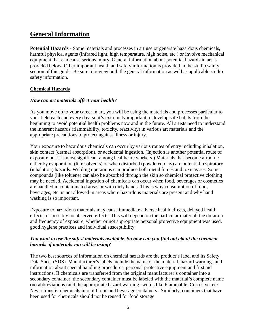# **General Information**

**Potential Hazards** - Some materials and processes in art use or generate hazardous chemicals, harmful physical agents (infrared light, high temperature, high noise, etc.) or involve mechanical equipment that can cause serious injury. General information about potential hazards in art is provided below. Other important health and safety information is provided in the studio safety section of this guide. Be sure to review both the general information as well as applicable studio safety information.

### **Chemical Hazards**

### *How can art materials affect your health?*

As you move on to your career in art, you will be using the materials and processes particular to your field each and every day, so it's extremely important to develop safe habits from the beginning to avoid potential health problems now and in the future. All artists need to understand the inherent hazards (flammability, toxicity, reactivity) in various art materials and the appropriate precautions to protect against illness or injury.

Your exposure to hazardous chemicals can occur by various routes of entry including inhalation, skin contact (dermal absorption), or accidental ingestion. (Injection is another potential route of exposure but it is most significant among healthcare workers.) Materials that become airborne either by evaporation (like solvents) or when disturbed (powdered clay) are potential respiratory (inhalation) hazards. Welding operations can produce both metal fumes and toxic gases. Some compounds (like toluene) can also be absorbed through the skin so chemical protective clothing may be needed. Accidental ingestion of chemicals can occur when food, beverages or cosmetics are handled in contaminated areas or with dirty hands. This is why consumption of food, beverages, etc. is not allowed in areas where hazardous materials are present and why hand washing is so important.

Exposure to hazardous materials may cause immediate adverse health effects, delayed health effects, or possibly no observed effects. This will depend on the particular material, the duration and frequency of exposure, whether or not appropriate personal protective equipment was used, good hygiene practices and individual susceptibility.

### *You want to use the safest materials available. So how can you find out about the chemical hazards of materials you will be using?*

The two best sources of information on chemical hazards are the product's label and its Safety Data Sheet (SDS). Manufacturer's labels include the name of the material, hazard warnings and information about special handling procedures, personal protective equipment and first aid instructions. If chemicals are transferred from the original manufacturer's container into a secondary container, the secondary container must be labeled with the material's complete name (no abbreviations) and the appropriate hazard warning--words like Flammable, Corrosive, etc. Never transfer chemicals into old food and beverage containers. Similarly, containers that have been used for chemicals should not be reused for food storage.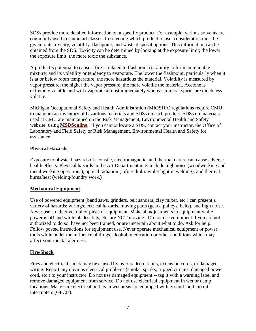SDSs provide more detailed information on a specific product. For example, various solvents are commonly used in studio art classes. In selecting which product to use, consideration must be given to its toxicity, volatility, flashpoint, and waste disposal options. This information can be obtained from the SDS. Toxicity can be determined by looking at the exposure limit; the lower the exposure limit, the more toxic the substance.

A product's potential to cause a fire is related to flashpoint (or ability to form an ignitable mixture) and its volatility or tendency to evaporate. The lower the flashpoint, particularly when it is at or below room temperature, the more hazardous the material. Volatility is measured by vapor pressure; the higher the vapor pressure, the more volatile the material. Acetone is extremely volatile and will evaporate almost immediately whereas mineral spirits are much less volatile.

Michigan Occupational Safety and Health Administration (MIOSHA) regulations require CMU to maintain an inventory of hazardous materials and SDSs on each product. SDSs on materials used at CMU are maintained on the Risk Management, Environmental Health and Safety website; using **[MSDSonline](https://www.cmich.edu/fas/fsr/rm/EHS/SDS/Pages/default.aspx)**. If you cannot locate a SDS, contact your instructor, the Office of Laboratory and Field Safety or Risk Management, Environmental Health and Safety for assistance.

### **Physical Hazards**

Exposure to physical hazards of acoustic, electromagnetic, and thermal nature can cause adverse health effects. Physical hazards in the Art Department may include high noise (woodworking and metal working operations), optical radiation (infrared/ultraviolet light in welding), and thermal burns/heat (welding/foundry work.)

### **Mechanical Equipment**

Use of powered equipment (band saws, grinders, belt sanders, clay mixer, etc.) can present a variety of hazards: wiring/electrical hazards, moving parts (gears, pulleys, belts), and high noise. Never use a defective tool or piece of equipment. Make all adjustments to equipment while power is off and while blades, bits, etc. are NOT moving. Do not use equipment if you are not authorized to do so, have not been trained, or are uncertain about what to do. Ask for help. Follow posted instructions for equipment use. Never operate mechanical equipment or power tools while under the influence of drugs, alcohol, medication or other conditions which may affect your mental alertness.

### **Fire/Shock**

Fires and electrical shock may be caused by overloaded circuits, extension cords, or damaged wiring. Report any obvious electrical problems (smoke, sparks, tripped circuits, damaged power cord, etc.) to your instructor. Do not use damaged equipment -- tag it with a warning label and remove damaged equipment from service. Do not use electrical equipment in wet or damp locations. Make sure electrical outlets in wet areas are equipped with ground fault circuit interrupters (GFCIs).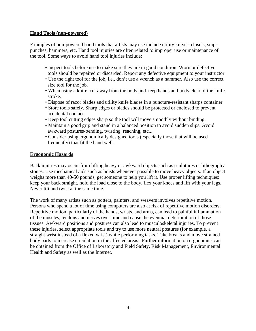#### **Hand Tools (non-powered)**

Examples of non-powered hand tools that artists may use include utility knives, chisels, snips, punches, hammers, etc. Hand tool injuries are often related to improper use or maintenance of the tool. Some ways to avoid hand tool injuries include:

- Inspect tools before use to make sure they are in good condition. Worn or defective tools should be repaired or discarded. Report any defective equipment to your instructor.
- Use the right tool for the job, i.e., don't use a wrench as a hammer. Also use the correct size tool for the job.
- When using a knife, cut away from the body and keep hands and body clear of the knife stroke.
- Dispose of razor blades and utility knife blades in a puncture-resistant sharps container.
- Store tools safely. Sharp edges or blades should be protected or enclosed to prevent accidental contact.
- Keep tool cutting edges sharp so the tool will move smoothly without binding.
- Maintain a good grip and stand in a balanced position to avoid sudden slips. Avoid awkward postures-bending, twisting, reaching, etc...
- Consider using ergonomically designed tools (especially those that will be used frequently) that fit the hand well.

### **Ergonomic Hazards**

Back injuries may occur from lifting heavy or awkward objects such as sculptures or lithography stones. Use mechanical aids such as hoists whenever possible to move heavy objects. If an object weighs more than 40-50 pounds, get someone to help you lift it. Use proper lifting techniques: keep your back straight, hold the load close to the body, flex your knees and lift with your legs. Never lift and twist at the same time.

The work of many artists such as potters, painters, and weavers involves repetitive motion. Persons who spend a lot of time using computers are also at risk of repetitive motion disorders. Repetitive motion, particularly of the hands, wrists, and arms, can lead to painful inflammation of the muscles, tendons and nerves over time and cause the eventual deterioration of those tissues. Awkward positions and postures can also lead to musculoskeletal injuries. To prevent these injuries, select appropriate tools and try to use more neutral postures (for example, a straight wrist instead of a flexed wrist) while performing tasks. Take breaks and move strained body parts to increase circulation in the affected areas. Further information on ergonomics can be obtained from the Office of Laboratory and Field Safety, Risk Management, Environmental Health and Safety as well as the Internet.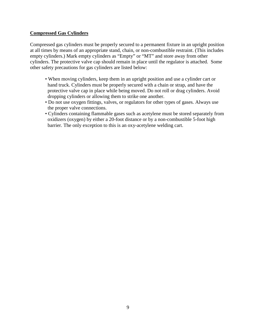### **Compressed Gas Cylinders**

Compressed gas cylinders must be properly secured to a permanent fixture in an upright position at all times by means of an appropriate stand, chain, or non-combustible restraint. (This includes empty cylinders.) Mark empty cylinders as "Empty" or "MT" and store away from other cylinders. The protective valve cap should remain in place until the regulator is attached. Some other safety precautions for gas cylinders are listed below:

- When moving cylinders, keep them in an upright position and use a cylinder cart or hand truck. Cylinders must be properly secured with a chain or strap, and have the protective valve cap in place while being moved. Do not roll or drag cylinders. Avoid dropping cylinders or allowing them to strike one another.
- Do not use oxygen fittings, valves, or regulators for other types of gases. Always use the proper valve connections.
- Cylinders containing flammable gases such as acetylene must be stored separately from oxidizers (oxygen) by either a 20-foot distance or by a non-combustible 5-foot high barrier. The only exception to this is an oxy-acetylene welding cart.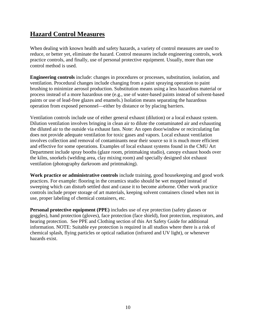# **Hazard Control Measures**

When dealing with known health and safety hazards, a variety of control measures are used to reduce, or better yet, eliminate the hazard. Control measures include engineering controls, work practice controls, and finally, use of personal protective equipment. Usually, more than one control method is used.

**Engineering controls** include: changes in procedures or processes, substitution, isolation, and ventilation. Procedural changes include changing from a paint spraying operation to paint brushing to minimize aerosol production. Substitution means using a less hazardous material or process instead of a more hazardous one (e.g., use of water-based paints instead of solvent-based paints or use of lead-free glazes and enamels.) Isolation means separating the hazardous operation from exposed personnel—either by distance or by placing barriers.

Ventilation controls include use of either general exhaust (dilution) or a local exhaust system. Dilution ventilation involves bringing in clean air to dilute the contaminated air and exhausting the diluted air to the outside via exhaust fans. Note: An open door/window or recirculating fan does not provide adequate ventilation for toxic gases and vapors. Local exhaust ventilation involves collection and removal of contaminants near their source so it is much more efficient and effective for some operations. Examples of local exhaust systems found in the CMU Art Department include spray booths (glaze room, printmaking studio), canopy exhaust hoods over the kilns, snorkels (welding area, clay mixing room) and specially designed slot exhaust ventilation (photography darkroom and printmaking).

**Work practice or administrative controls** include training, good housekeeping and good work practices. For example: flooring in the ceramics studio should be wet mopped instead of sweeping which can disturb settled dust and cause it to become airborne. Other work practice controls include proper storage of art materials, keeping solvent containers closed when not in use, proper labeling of chemical containers, etc.

**Personal protective equipment (PPE)** includes use of eye protection (safety glasses or goggles), hand protection (gloves), face protection (face shield), foot protection, respirators, and hearing protection. See PPE and Clothing section of this Art Safety Guide for additional information. NOTE: Suitable eye protection is required in all studios where there is a risk of chemical splash, flying particles or optical radiation (infrared and UV light), or whenever hazards exist.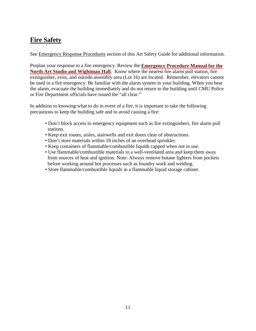# **Fire Safety**

See Emergency Response Procedures section of this Art Safety Guide for additional information.

Preplan your response to a fire emergency. Review the **[Emergency Procedure Manual for the](https://www.cmich.edu/fas/fsr/rm/EHS/Emergency_Action_Plans/Pages/default.aspx)  [North Art Studio and Wightman Hall](https://www.cmich.edu/fas/fsr/rm/EHS/Emergency_Action_Plans/Pages/default.aspx)**. Know where the nearest fire alarm pull station, fire extinguisher, exits, and outside assembly area (Lot 16) are located. Remember, elevators cannot be used in a fire emergency. Be familiar with the alarm system in your building. When you hear the alarm, evacuate the building immediately and do not return to the building until CMU Police or Fire Department officials have issued the "all clear."

In addition to knowing what to do in event of a fire, it is important to take the following precautions to keep the building safe and to avoid causing a fire:

- Don't block access to emergency equipment such as fire extinguishers, fire alarm pull stations.
- Keep exit routes, aisles, stairwells and exit doors clear of obstructions.
- Don't store materials within 18 inches of an overhead sprinkler.
- Keep containers of flammable/combustible liquids capped when not in use.
- Use flammable/combustible materials in a well-ventilated area and keep them away from sources of heat and ignition. Note: Always remove butane lighters from pockets before working around hot processes such as foundry work and welding.
- Store flammable/combustible liquids in a flammable liquid storage cabinet.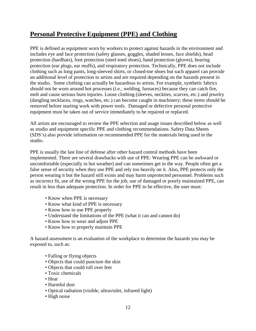# **Personal Protective Equipment (PPE) and Clothing**

PPE is defined as equipment worn by workers to protect against hazards in the environment and includes eye and face protection (safety glasses, goggles, shaded lenses, face shields), head protection (hardhats), foot protection (steel-toed shoes), hand protection (gloves), hearing protection (ear plugs, ear muffs), and respiratory protection. Technically, PPE does not include clothing such as long pants, long-sleeved shirts, or closed-toe shoes but such apparel can provide an additional level of protection to artists and are required depending on the hazards present in the studio. Some clothing can actually be hazardous to artists. For example, synthetic fabrics should not be worn around hot processes (i.e., welding, furnaces) because they can catch fire, melt and cause serious burn injuries. Loose clothing (sleeves, neckties, scarves, etc.) and jewelry (dangling necklaces, rings, watches, etc.) can become caught in machinery; these items should be removed before starting work with power tools. Damaged or defective personal protective equipment must be taken out of service immediately to be repaired or replaced.

All artists are encouraged to review the PPE selection and usage issues described below as well as studio and equipment specific PPE and clothing recommendations. Safety Data Sheets (SDS's) also provide information on recommended PPE for the materials being used in the studio.

PPE is usually the last line of defense after other hazard control methods have been implemented. There are several drawbacks with use of PPE: Wearing PPE can be awkward or uncomfortable (especially in hot weather) and can sometimes get in the way. People often get a false sense of security when they use PPE and rely too heavily on it. Also, PPE protects only the person wearing it but the hazard still exists and may harm unprotected personnel. Problems such as incorrect fit, use of the wrong PPE for the job, use of damaged or poorly maintained PPE, can result in less than adequate protection. In order for PPE to be effective, the user must:

- Know when PPE is necessary
- Know what kind of PPE is necessary
- Know how to use PPE properly
- Understand the limitations of the PPE (what it can and cannot do)
- Know how to wear and adjust PPE
- Know how to properly maintain PPE

A hazard assessment is an evaluation of the workplace to determine the hazards you may be exposed to, such as:

- Falling or flying objects
- Objects that could puncture the skin
- Objects that could roll over feet
- Toxic chemicals
- Heat
- Harmful dust
- Optical radiation (visible, ultraviolet, infrared light)
- High noise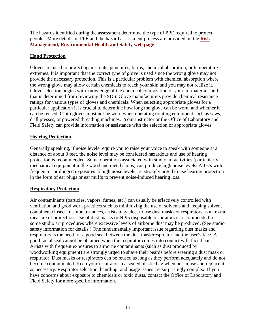The hazards identified during the assessment determine the type of PPE required to protect people. More details on PPE and the hazard assessment process are provided on the **[Risk](https://www.cmich.edu/fas/fsr/rm/EHS/Written_Plans/Documents/PPE%20Guidelines%20Written%20Plan%202015%202016.pdf)  [Management, Environmental Health and Safety web page](https://www.cmich.edu/fas/fsr/rm/EHS/Written_Plans/Documents/PPE%20Guidelines%20Written%20Plan%202015%202016.pdf)**.

### **Hand Protection**

Gloves are used to protect against cuts, punctures, burns, chemical absorption, or temperature extremes. It is important that the correct type of glove is used since the wrong glove may not provide the necessary protection. This is a particular problem with chemical absorption where the wrong glove may allow certain chemicals to reach your skin and you may not realize it. Glove selection begins with knowledge of the chemical composition of your art materials and that is determined from reviewing the SDS. Glove manufacturers provide chemical resistance ratings for various types of gloves and chemicals. When selecting appropriate gloves for a particular application it is crucial to determine how long the glove can be worn, and whether it can be reused. Cloth gloves must not be worn when operating rotating equipment such as saws, drill presses, or powered threading machines. Your instructor or the Office of Laboratory and Field Safety can provide information or assistance with the selection of appropriate gloves.

### **Hearing Protection**

Generally speaking, if noise levels require you to raise your voice to speak with someone at a distance of about 3 feet, the noise level may be considered hazardous and use of hearing protection is recommended. Some operations associated with studio art activities (particularly mechanical equipment in the wood and metal shops) can produce high noise levels. Artists with frequent or prolonged exposures to high noise levels are strongly urged to use hearing protection in the form of ear plugs or ear muffs to prevent noise-induced hearing loss.

### **Respiratory Protection**

Air contaminants (particles, vapors, fumes, etc.) can usually be effectively controlled with ventilation and good work practices such as minimizing the use of solvents and keeping solvent containers closed. In some instances, artists may elect to use dust masks or respirators as an extra measure of protection. Use of dust masks or N-95 disposable respirators is recommended for some studio art procedures where excessive levels of airborne dust may be produced. (See studio safety information for details.) One fundamentally important issue regarding dust masks and respirators is the need for a good seal between the dust mask/respirator and the user's face. A good facial seal cannot be obtained when the respirator comes into contact with facial hair. Artists with frequent exposures to airborne contaminants (such as dust produced by woodworking equipment) are strongly urged to shave their beards before wearing a dust mask or respirator. Dust masks or respirators can be reused as long as they perform adequately and do not become contaminated. Keep your respirator in a sealed plastic bag when not in use and replace it as necessary. Respirator selection, handling, and usage issues are surprisingly complex. If you have concerns about exposure to chemicals or toxic dusts, contact the Office of Laboratory and Field Safety for more specific information.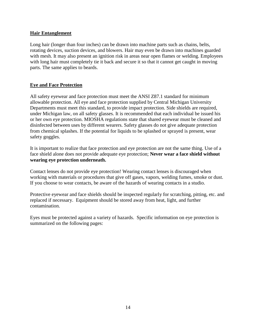### **Hair Entanglement**

Long hair (longer than four inches) can be drawn into machine parts such as chains, belts, rotating devices, suction devices, and blowers. Hair may even be drawn into machines guarded with mesh. It may also present an ignition risk in areas near open flames or welding. Employees with long hair must completely tie it back and secure it so that it cannot get caught in moving parts. The same applies to beards.

### **Eye and Face Protection**

All safety eyewear and face protection must meet the ANSI Z87.1 standard for minimum allowable protection. All eye and face protection supplied by Central Michigan University Departments must meet this standard, to provide impact protection. Side shields are required, under Michigan law, on all safety glasses. It is recommended that each individual be issued his or her own eye protection. MIOSHA regulations state that shared eyewear must be cleaned and disinfected between uses by different wearers. Safety glasses do not give adequate protection from chemical splashes. If the potential for liquids to be splashed or sprayed is present, wear safety goggles.

It is important to realize that face protection and eye protection are not the same thing. Use of a face shield alone does not provide adequate eye protection; **Never wear a face shield without wearing eye protection underneath.**

Contact lenses do not provide eye protection! Wearing contact lenses is discouraged when working with materials or procedures that give off gases, vapors, welding fumes, smoke or dust. If you choose to wear contacts, be aware of the hazards of wearing contacts in a studio.

Protective eyewear and face shields should be inspected regularly for scratching, pitting, etc. and replaced if necessary. Equipment should be stored away from heat, light, and further contamination.

Eyes must be protected against a variety of hazards. Specific information on eye protection is summarized on the following pages: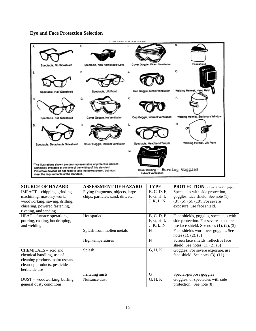

### **Eye and Face Protection Selection**

| <b>SOURCE OF HAZARD</b>          | <b>ASSESSMENT OF HAZARD</b>        | <b>TYPE</b> | <b>PROTECTION</b> (see notes on next page)       |
|----------------------------------|------------------------------------|-------------|--------------------------------------------------|
| IMPACT - chipping, grinding,     | Flying fragments, objects, large   | B, C, D, E, | Spectacles with side protection,                 |
| machining, masonry work,         | chips, particles, sand, dirt, etc. | F, G, H, I, | goggles, face shield. See note (1),              |
| woodworking, sawing, drilling,   |                                    | J, K, L, N  | $(3)$ , $(5)$ , $(6)$ , $(10)$ . For severe      |
| chiseling, powered fastening,    |                                    |             | exposure, use face shield.                       |
| riveting, and sanding            |                                    |             |                                                  |
| HEAT – furnace operations,       | Hot sparks                         | B, C, D, E, | Face shields, goggles, spectacles with           |
| pouring, casting, hot dripping,  |                                    | F, G, H, I, | side protection. For severe exposure,            |
| and welding                      |                                    | J, K, L, N  | use face shield. See notes $(1)$ , $(2)$ , $(3)$ |
|                                  | Splash from molten metals          | N           | Face shields worn over goggles. See              |
|                                  |                                    |             | notes $(1), (2), (3)$                            |
|                                  | High temperatures                  | N           | Screen face shields, reflective face             |
|                                  |                                    |             | shield. See notes $(1)$ , $(2)$ , $(3)$          |
| CHEMICALS – acid and             | Splash                             | G, H, K     | Goggles. For severe exposure, use                |
| chemical handling, use of        |                                    |             | face shield. See notes $(3)$ , $(11)$            |
| cleaning products, paint use and |                                    |             |                                                  |
| clean-up products, pesticide and |                                    |             |                                                  |
| herbicide use                    |                                    |             |                                                  |
|                                  | Irritating mists                   | G           | Special-purpose goggles                          |
| DUST – woodworking, buffing,     | Nuisance dust                      | G, H, K     | Goggles, or spectacles with side                 |
| general dusty conditions.        |                                    |             | protection. See note $(8)$                       |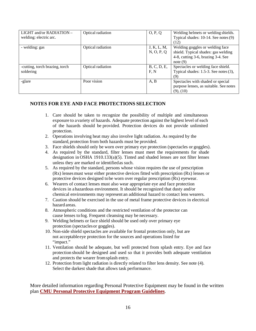| LIGHT and/or RADIATION -<br>welding: electric arc. | Optical radiation | O, P, Q                   | Welding helmets or welding shields.<br>Typical shades: 10-14. See notes (9)<br>(12)                                     |
|----------------------------------------------------|-------------------|---------------------------|-------------------------------------------------------------------------------------------------------------------------|
| - welding: gas                                     | Optical radiation | J, K, L, M,<br>N, O, P, Q | Welding goggles or welding face<br>shield. Typical shades: gas welding<br>4-8, cutting 3-6, brazing 3-4. See<br>note(9) |
| -cutting, torch brazing, torch<br>soldering        | Optical radiation | B, C, D, E,<br>F, N       | Spectacles or welding face shield.<br>Typical shades: 1.5-3. See notes (3),<br>(9)                                      |
| -glare                                             | Poor vision       | A, B                      | Spectacles with shaded or special<br>purpose lenses, as suitable. See notes<br>$(9)$ , $(10)$                           |

### **NOTES FOR EYE AND FACE PROTECTIONS SELECTION**

- 1. Care should be taken to recognize the possibility of multiple and simultaneous exposure to avariety of hazards. Adequate protection against the highest level of each of the hazards should be provided. Protection devices do not provide unlimited protection.
- 2. Operations involving heat may also involve light radiation. As required by the standard, protection from both hazards must be provided.
- 3. Face shields should only be worn over primary eye protection (spectacles or goggles).
- 4. As required by the standard, filter lenses must meet the requirements for shade designation in OSHA 1910.133(a)(5). Tinted and shaded lenses are not filter lenses unless they are marked or identifiedas such.
- 5. As required by the standard, persons whose vision requires the use of prescription (Rx) lensesmust wear either protective devices fitted with prescription (Rx) lenses or protective devices designed to be worn over regular prescription (Rx) eyewear.
- 6. Wearers of contact lenses must also wear appropriate eye and face protection devices in a hazardous environment. It should be recognized that dusty and/or chemical environments may represent an additional hazard to contact lens wearers.
- 7. Caution should be exercised in the use of metal frame protective devices in electrical hazard areas.
- 8. Atmospheric conditions and the restricted ventilation of the protector can cause lenses to fog. Frequent cleansing may be necessary.
- 9. Welding helmets or face shield should be used only over primary eye protection (spectaclesor goggles).
- 10. Non-side shield spectacles are available for frontal protection only, but are not acceptable eye protection for the sources and operations listed for "impact."
- 11. Ventilation should be adequate, but well protected from splash entry. Eye and face protection should be designed and used so that it provides both adequate ventilation and protects the wearer fromsplash entry.
- 12. Protection from light radiation is directly related to filter lens density. See note (4). Select the darkest shade that allows task performance.

More detailed information regarding Personal Protective Equipment may be found in the written plan **[CMU Personal Protective Equipment Program Guidelines](https://www.cmich.edu/fas/fsr/rm/EHS/Written_Plans/Documents/PPE%20Guidelines%20Written%20Plan%202015%202016.pdf)**.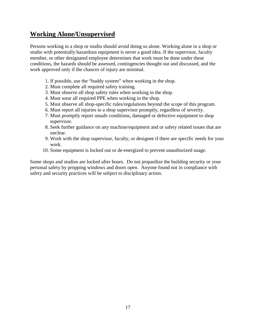# **Working Alone/Unsupervised**

Persons working in a shop or studio should avoid doing so alone. Working alone in a shop or studio with potentially hazardous equipment is never a good idea. If the supervisor, faculty member, or other designated employee determines that work must be done under these conditions, the hazards should be assessed, contingencies thought out and discussed, and the work approved only if the chances of injury are minimal.

- 1. If possible, use the "buddy system" when working in the shop.
- 2. Must complete all required safety training.
- 3. Must observe all shop safety rules when working in the shop.
- 4. Must wear all required PPE when working in the shop.
- 5. Must observe all shop-specific rules/regulations beyond the scope of this program.
- 6. Must report all injuries to a shop supervisor promptly, regardless of severity.
- 7. Must promptly report unsafe conditions, damaged or defective equipment to shop supervisor.
- 8. Seek further guidance on any machine/equipment and or safety related issues that are unclear.
- 9. Work with the shop supervisor, faculty, or designee if there are specific needs for your work.
- 10. Some equipment is locked out or de-energized to prevent unauthorized usage.

Some shops and studios are locked after hours. Do not jeopardize the building security or your personal safety by propping windows and doors open. Anyone found not in compliance with safety and security practices will be subject to disciplinary action.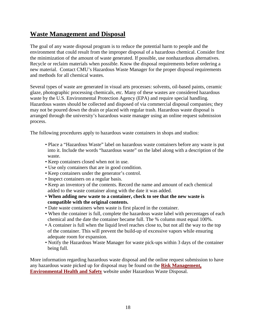# **Waste Management and Disposal**

The goal of any waste disposal program is to reduce the potential harm to people and the environment that could result from the improper disposal of a hazardous chemical. Consider first the minimization of the amount of waste generated. If possible, use nonhazardous alternatives. Recycle or reclaim materials when possible. Know the disposal requirements before ordering a new material. Contact CMU's Hazardous Waste Manager for the proper disposal requirements and methods for all chemical wastes.

Several types of waste are generated in visual arts processes: solvents, oil-based paints, ceramic glaze, photographic processing chemicals, etc. Many of these wastes are considered hazardous waste by the U.S. Environmental Protection Agency (EPA) and require special handling. Hazardous wastes should be collected and disposed of via commercial disposal companies; they may not be poured down the drain or placed with regular trash. Hazardous waste disposal is arranged through the university's hazardous waste manager using an online request submission process.

The following procedures apply to hazardous waste containers in shops and studios:

- Place a "Hazardous Waste" label on hazardous waste containers before any waste is put into it. Include the words "hazardous waste" on the label along with a description of the waste.
- Keep containers closed when not in use.
- Use only containers that are in good condition.
- Keep containers under the generator's control.
- Inspect containers on a regular basis.
- Keep an inventory of the contents. Record the name and amount of each chemical added to the waste container along with the date it was added.
- **When adding new waste to a container, check to see that the new waste is compatible with the original contents.**
- Date waste containers when waste is first placed in the container.
- When the container is full, complete the hazardous waste label with percentages of each chemical and the date the container became full. The % column must equal 100%.
- A container is full when the liquid level reaches close to, but not all the way to the top of the container. This will prevent the build-up of excessive vapors while ensuring adequate room for expansion.
- Notify the Hazardous Waste Manager for waste pick-ups within 3 days of the container being full.

More information regarding hazardous waste disposal and the online request submission to have any hazardous waste picked up for disposal may be found on the **[Risk Management,](https://www.cmich.edu/fas/fsr/rm/EHS/Pages/Hazardous-Waste-Disposal.aspx)  [Environmental Health and Safety](https://www.cmich.edu/fas/fsr/rm/EHS/Pages/Hazardous-Waste-Disposal.aspx)** website under Hazardous Waste Disposal.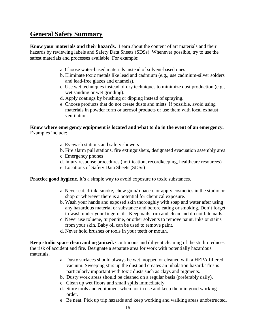### **General Safety Summary**

**Know your materials and their hazards.** Learn about the content of art materials and their hazards by reviewing labels and Safety Data Sheets (SDSs). Whenever possible, try to use the safest materials and processes available. For example:

- a. Choose water-based materials instead of solvent-based ones.
- b. Eliminate toxic metals like lead and cadmium (e.g., use cadmium-silver solders and lead-free glazes and enamels).
- c. Use wet techniques instead of dry techniques to minimize dust production (e.g., wet sanding or wet grinding).
- d. Apply coatings by brushing or dipping instead of spraying.
- e. Choose products that do not create dusts and mists. If possible, avoid using materials in powder form or aerosol products or use them with local exhaust ventilation.

#### **Know where emergency equipment is located and what to do in the event of an emergency.** Examples include:

- a. Eyewash stations and safety showers
- b. Fire alarm pull stations, fire extinguishers, designated evacuation assembly area
- c. Emergency phones
- d. Injury response procedures (notification, recordkeeping, healthcare resources)
- e. Locations of Safety Data Sheets (SDSs)

**Practice good hygiene.** It's a simple way to avoid exposure to toxic substances.

- a. Never eat, drink, smoke, chew gum/tobacco, or apply cosmetics in the studio or shop or wherever there is a potential for chemical exposure.
- b. Wash your hands and exposed skin thoroughly with soap and water after using any hazardous material or substance and before eating or smoking. Don't forget to wash under your fingernails. Keep nails trim and clean and do not bite nails.
- c. Never use toluene, turpentine, or other solvents to remove paint, inks or stains from your skin. Baby oil can be used to remove paint.
- d. Never hold brushes or tools in your teeth or mouth.

**Keep studio space clean and organized.** Continuous and diligent cleaning of the studio reduces the risk of accident and fire. Designate a separate area for work with potentially hazardous materials.

- a. Dusty surfaces should always be wet mopped or cleaned with a HEPA filtered vacuum. Sweeping stirs up the dust and creates an inhalation hazard. This is particularly important with toxic dusts such as clays and pigments.
- b. Dusty work areas should be cleaned on a regular basis (preferably daily).
- c. Clean up wet floors and small spills immediately.
- d. Store tools and equipment when not in use and keep them in good working order.
- e. Be neat. Pick up trip hazards and keep working and walking areas unobstructed.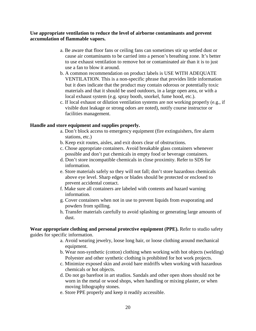### **Use appropriate ventilation to reduce the level of airborne contaminants and prevent accumulation of flammable vapors.**

- a. Be aware that floor fans or ceiling fans can sometimes stir up settled dust or cause air contaminants to be carried into a person's breathing zone. It's better to use exhaust ventilation to remove hot or contaminated air than it is to just use a fan to blow it around.
- b. A common recommendation on product labels is USE WITH ADEQUATE VENTILATION. This is a non-specific phrase that provides little information but it does indicate that the product may contain odorous or potentially toxic materials and that it should be used outdoors, in a large open area, or with a local exhaust system (e.g. spray booth, snorkel, fume hood, etc.).
- c. If local exhaust or dilution ventilation systems are not working properly (e.g., if visible dust leakage or strong odors are noted), notify course instructor or facilities management.

### **Handle and store equipment and supplies properly.**

- a. Don't block access to emergency equipment (fire extinguishers, fire alarm stations, etc.)
- b. Keep exit routes, aisles, and exit doors clear of obstructions.
- c. Chose appropriate containers. Avoid breakable glass containers whenever possible and don't put chemicals in empty food or beverage containers.
- d. Don't store incompatible chemicals in close proximity. Refer to SDS for information.
- e. Store materials safely so they will not fall; don't store hazardous chemicals above eye level. Sharp edges or blades should be protected or enclosed to prevent accidental contact.
- f. Make sure all containers are labeled with contents and hazard warning information.
- g. Cover containers when not in use to prevent liquids from evaporating and powders from spilling.
- h. Transfer materials carefully to avoid splashing or generating large amounts of dust.

**Wear appropriate clothing and personal protective equipment (PPE).** Refer to studio safety guides for specific information.

- a. Avoid wearing jewelry, loose long hair, or loose clothing around mechanical equipment.
- b. Wear non-synthetic (cotton) clothing when working with hot objects (welding) Polyester and other synthetic clothing is prohibited for hot work projects.
- c. Minimize exposed skin and avoid bare midriffs when working with hazardous chemicals or hot objects.
- d. Do not go barefoot in art studios. Sandals and other open shoes should not be worn in the metal or wood shops, when handling or mixing plaster, or when moving lithography stones.
- e. Store PPE properly and keep it readily accessible.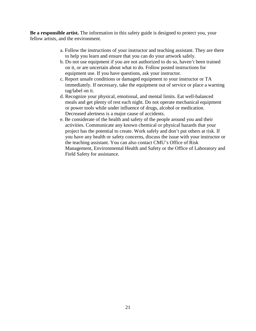**Be a responsible artist.** The information in this safety guide is designed to protect you, your fellow artists, and the environment.

- a. Follow the instructions of your instructor and teaching assistant. They are there to help you learn and ensure that you can do your artwork safely.
- b. Do not use equipment if you are not authorized to do so, haven't been trained on it, or are uncertain about what to do. Follow posted instructions for equipment use. If you have questions, ask your instructor.
- c. Report unsafe conditions or damaged equipment to your instructor or TA immediately. If necessary, take the equipment out of service or place a warning tag/label on it.
- d. Recognize your physical, emotional, and mental limits. Eat well-balanced meals and get plenty of rest each night. Do not operate mechanical equipment or power tools while under influence of drugs, alcohol or medication. Decreased alertness is a major cause of accidents.
- e. Be considerate of the health and safety of the people around you and their activities. Communicate any known chemical or physical hazards that your project has the potential to create. Work safely and don't put others at risk. If you have any health or safety concerns, discuss the issue with your instructor or the teaching assistant. You can also contact CMU's Office of Risk Management, Environmental Health and Safety or the Office of Laboratory and Field Safety for assistance.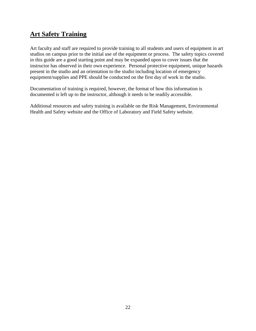# **Art Safety Training**

Art faculty and staff are required to provide training to all students and users of equipment in art studios on campus prior to the initial use of the equipment or process. The safety topics covered in this guide are a good starting point and may be expanded upon to cover issues that the instructor has observed in their own experience. Personal protective equipment, unique hazards present in the studio and an orientation to the studio including location of emergency equipment/supplies and PPE should be conducted on the first day of work in the studio.

Documentation of training is required, however, the format of how this information is documented is left up to the instructor, although it needs to be readily accessible.

Additional resources and safety training is available on the Risk Management, Environmental Health and Safety website and the Office of Laboratory and Field Safety website.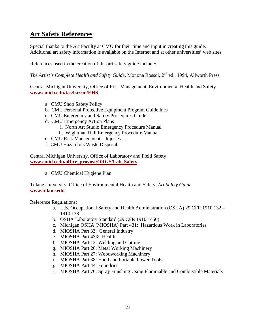# **Art Safety References**

Special thanks to the Art Faculty at CMU for their time and input in creating this guide. Additional art safety information is available on the Internet and at other universities' web sites.

References used in the creation of this art safety guide include:

*The Artist's Complete Health and Safety Guide*, Monona Rossol, 2<sup>nd</sup> ed., 1994, Allworth Press

Central Michigan University, Office of Risk Management, Environmental Health and Safety **[www.cmich.edu/fas/fsr/rm/EHS](http://www.cmich.edu/fas/fsr/rm/EHS)**

- a. CMU Shop Safety Policy
- b. CMU Personal Protective Equipment Program Guidelines
- c. CMU Emergency and Safety Procedures Guide
- d. CMU Emergency Action Plans
	- i. North Art Studio Emergency Procedure Manual
	- ii. Wightman Hall Emergency Procedure Manual
- e. CMU Risk Management Injuries
- f. CMU Hazardous Waste Disposal

Central Michigan University, Office of Laboratory and Field Safety **[www.cmich.edu/office\\_provost/ORGS/Lab\\_Safety](http://www.cmich.edu/office_provost/ORGS/Lab_Safety)**

a. CMU Chemical Hygiene Plan

Tulane University, Office of Environmental Health and Safety, *Art Safety Guide*  **[www.tulane.edu](http://www.tulane.edu/)**

Reference Regulations:

- a. U.S. Occupational Safety and Health Administration (OSHA) 29 CFR 1910.132 1910.138
- b. OSHA Laboratory Standard (29 CFR 1910.1450)
- c. Michigan OSHA (MIOSHA) Part 431: Hazardous Work in Laboratories
- d. MIOSHA Part 33: General Industry
- e. MIOSHA Part 433: Health
- f. MIOSHA Part 12: Welding and Cutting
- g. MIOSHA Part 26: Metal Working Machinery
- h. MIOSHA Part 27: Woodworking Machinery
- i. MIOSHA Part 38: Hand and Portable Power Tools
- j. MIOSHA Part 44: Foundries
- k. MIOSHA Part 76: Spray Finishing Using Flammable and Combustible Materials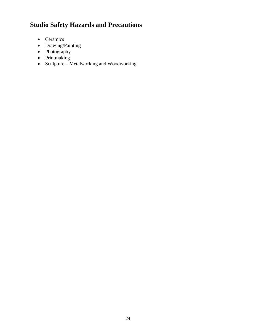# **Studio Safety Hazards and Precautions**

- Ceramics
- Drawing/Painting
- Photography
- Printmaking
- Sculpture Metalworking and Woodworking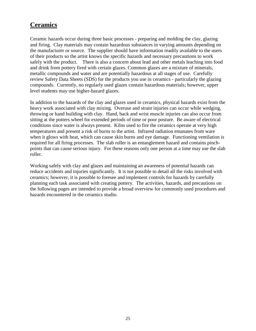# **Ceramics**

Ceramic hazards occur during three basic processes - preparing and molding the clay, glazing and firing. Clay materials may contain hazardous substances in varying amounts depending on the manufacturer or source. The supplier should have information readily available to the users of their products so the artist knows the specific hazards and necessary precautions to work safely with the product. There is also a concern about lead and other metals leaching into food and drink from pottery fired with certain glazes. Common glazes are a mixture of minerals, metallic compounds and water and are potentially hazardous at all stages of use. Carefully review Safety Data Sheets (SDS) for the products you use in ceramics - particularly the glazing compounds. Currently, no regularly used glazes contain hazardous materials; however, upper level students may use higher-hazard glazes.

In addition to the hazards of the clay and glazes used in ceramics, physical hazards exist from the heavy work associated with clay mixing. Overuse and strain injuries can occur while wedging, throwing or hand building with clay. Hand, back and wrist muscle injuries can also occur from sitting at the potters wheel for extended periods of time or poor posture. Be aware of electrical conditions since water is always present. Kilns used to fire the ceramics operate at very high temperatures and present a risk of burns to the artist. Infrared radiation emanates from ware when it glows with heat, which can cause skin burns and eye damage. Functioning ventilation is required for all firing processes. The slab roller is an entanglement hazard and contains pinchpoints that can cause serious injury. For these reasons only one person at a time may use the slab roller.

Working safely with clay and glazes and maintaining an awareness of potential hazards can reduce accidents and injuries significantly. It is not possible to detail all the risks involved with ceramics; however, it is possible to foresee and implement controls for hazards by carefully planning each task associated with creating pottery. The activities, hazards, and precautions on the following pages are intended to provide a broad overview for commonly used procedures and hazards encountered in the ceramics studio.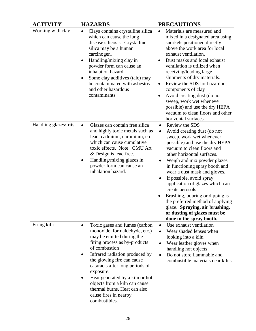| <b>ACTIVITY</b>       | <b>HAZARDS</b>                                                                                                                                                                                                                                                                                                                                                                                                           | <b>PRECAUTIONS</b>                                                                                                                                                                                                                                                                                                                                                                                                                                                                                                                                                     |
|-----------------------|--------------------------------------------------------------------------------------------------------------------------------------------------------------------------------------------------------------------------------------------------------------------------------------------------------------------------------------------------------------------------------------------------------------------------|------------------------------------------------------------------------------------------------------------------------------------------------------------------------------------------------------------------------------------------------------------------------------------------------------------------------------------------------------------------------------------------------------------------------------------------------------------------------------------------------------------------------------------------------------------------------|
| Working with clay     | Clays contains crystalline silica<br>$\bullet$<br>which can cause the lung<br>disease silicosis. Crystalline<br>silica may be a human<br>carcinogen.<br>Handling/mixing clay in<br>٠<br>powder form can cause an<br>inhalation hazard.<br>Some clay additives (talc) may<br>$\bullet$<br>be contaminated with asbestos<br>and other hazardous<br>contaminants.                                                           | Materials are measured and<br>$\bullet$<br>mixed in a designated area using<br>snorkels positioned directly<br>above the work area for local<br>exhaust ventilation.<br>Dust masks and local exhaust<br>ventilation is utilized when<br>receiving/loading large<br>shipments of dry materials.<br>Review the SDS for hazardous<br>$\bullet$<br>components of clay<br>Avoid creating dust (do not<br>٠<br>sweep, work wet whenever<br>possible) and use the dry HEPA<br>vacuum to clean floors and other<br>horizontal surfaces.                                        |
| Handling glazes/frits | Glazes can contain free silica<br>$\bullet$<br>and highly toxic metals such as<br>lead, cadmium, chromium, etc.<br>which can cause cumulative<br>toxic effects. Note: CMU Art<br>& Design is lead free.<br>Handling/mixing glazes in<br>powder form can cause an<br>inhalation hazard.                                                                                                                                   | Review the SDS<br>$\bullet$<br>Avoid creating dust (do not<br>$\bullet$<br>sweep, work wet whenever<br>possible) and use the dry HEPA<br>vacuum to clean floors and<br>other horizontal surfaces.<br>Weigh and mix powder glazes<br>in functioning spray booth and<br>wear a dust mask and gloves.<br>If possible, avoid spray<br>$\bullet$<br>application of glazes which can<br>create aerosols<br>Brushing, pouring or dipping is<br>the preferred method of applying<br>glaze. Spraying, air brushing,<br>or dusting of glazes must be<br>done in the spray booth. |
| Firing kiln           | Toxic gases and fumes (carbon<br>$\bullet$<br>monoxide, formaldehyde, etc.)<br>may be emitted during the<br>firing process as by-products<br>of combustion<br>Infrared radiation produced by<br>the glowing fire can cause<br>cataracts after long periods of<br>exposure.<br>Heat generated by a kiln or hot<br>objects from a kiln can cause<br>thermal burns. Heat can also<br>cause fires in nearby<br>combustibles. | Use exhaust ventilation<br>$\bullet$<br>Wear shaded lenses when<br>looking into a kiln<br>Wear leather gloves when<br>$\bullet$<br>handling hot objects<br>Do not store flammable and<br>$\bullet$<br>combustible materials near kilns                                                                                                                                                                                                                                                                                                                                 |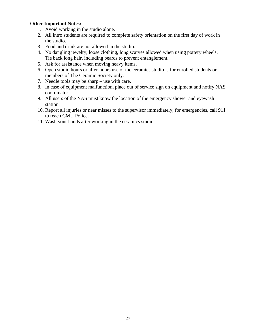### **Other Important Notes:**

- 1. Avoid working in the studio alone.
- 2. All intro students are required to complete safety orientation on the first day of work in the studio.
- 3. Food and drink are not allowed in the studio.
- 4. No dangling jewelry, loose clothing, long scarves allowed when using pottery wheels. Tie back long hair, including beards to prevent entanglement.
- 5. Ask for assistance when moving heavy items.
- 6. Open studio hours or after-hours use of the ceramics studio is for enrolled students or members of The Ceramic Society only.
- 7. Needle tools may be sharp use with care.
- 8. In case of equipment malfunction, place out of service sign on equipment and notify NAS coordinator.
- 9. All users of the NAS must know the location of the emergency shower and eyewash station.
- 10. Report all injuries or near misses to the supervisor immediately; for emergencies, call 911 to reach CMU Police.
- 11. Wash your hands after working in the ceramics studio.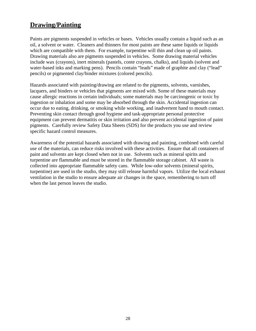# **Drawing/Painting**

Paints are pigments suspended in vehicles or bases. Vehicles usually contain a liquid such as an oil, a solvent or water. Cleaners and thinners for most paints are these same liquids or liquids which are compatible with them. For example, turpentine will thin and clean up oil paints. Drawing materials also are pigments suspended in vehicles. Some drawing material vehicles include wax (crayons), inert minerals (pastels, conte crayons, chalks), and liquids (solvent and water-based inks and marking pens). Pencils contain "leads" made of graphite and clay ("lead" pencils) or pigmented clay/binder mixtures (colored pencils).

Hazards associated with painting/drawing are related to the pigments, solvents, varnishes, lacquers, and binders or vehicles that pigments are mixed with. Some of these materials may cause allergic reactions in certain individuals; some materials may be carcinogenic or toxic by ingestion or inhalation and some may be absorbed through the skin. Accidental ingestion can occur due to eating, drinking, or smoking while working, and inadvertent hand to mouth contact. Preventing skin contact through good hygiene and task-appropriate personal protective equipment can prevent dermatitis or skin irritation and also prevent accidental ingestion of paint pigments. Carefully review Safety Data Sheets (SDS) for the products you use and review specific hazard control measures.

Awareness of the potential hazards associated with drawing and painting, combined with careful use of the materials, can reduce risks involved with these activities. Ensure that all containers of paint and solvents are kept closed when not in use. Solvents such as mineral spirits and turpentine are flammable and must be stored in the flammable storage cabinet. All waste is collected into appropriate flammable safety cans. While low-odor solvents (mineral spirits, turpentine) are used in the studio, they may still release harmful vapors. Utilize the local exhaust ventilation in the studio to ensure adequate air changes in the space, remembering to turn off when the last person leaves the studio.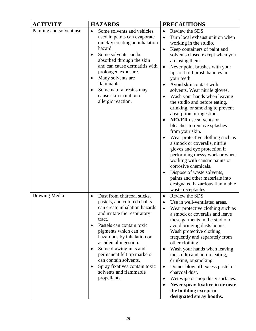| <b>ACTIVITY</b>          | <b>HAZARDS</b>                                                                                                                                                                                                                                                                                                                                                                                                            | <b>PRECAUTIONS</b>                                                                                                                                                                                                                                                                                                                                                                                                                                                                                                                                                                                                                                                                                                                                                                                                                                                                                                                       |
|--------------------------|---------------------------------------------------------------------------------------------------------------------------------------------------------------------------------------------------------------------------------------------------------------------------------------------------------------------------------------------------------------------------------------------------------------------------|------------------------------------------------------------------------------------------------------------------------------------------------------------------------------------------------------------------------------------------------------------------------------------------------------------------------------------------------------------------------------------------------------------------------------------------------------------------------------------------------------------------------------------------------------------------------------------------------------------------------------------------------------------------------------------------------------------------------------------------------------------------------------------------------------------------------------------------------------------------------------------------------------------------------------------------|
| Painting and solvent use | Some solvents and vehicles<br>$\bullet$<br>used in paints can evaporate<br>quickly creating an inhalation<br>hazard.<br>Some solvents can be<br>absorbed through the skin<br>and can cause dermatitis with<br>prolonged exposure.<br>Many solvents are<br>flammable.<br>Some natural resins may<br>cause skin irritation or<br>allergic reaction.                                                                         | Review the SDS<br>$\bullet$<br>Turn local exhaust unit on when<br>$\bullet$<br>working in the studio.<br>Keep containers of paint and<br>$\bullet$<br>solvents closed except when you<br>are using them.<br>Never point brushes with your<br>$\bullet$<br>lips or hold brush handles in<br>your teeth.<br>Avoid skin contact with<br>$\bullet$<br>solvents. Wear nitrile gloves.<br>Wash your hands when leaving<br>$\bullet$<br>the studio and before eating,<br>drinking, or smoking to prevent<br>absorption or ingestion.<br><b>NEVER</b> use solvents or<br>bleaches to remove splashes<br>from your skin.<br>Wear protective clothing such as<br>a smock or coveralls, nitrile<br>gloves and eye protection if<br>performing messy work or when<br>working with caustic paints or<br>corrosive chemicals.<br>Dispose of waste solvents,<br>paints and other materials into<br>designated hazardous flammable<br>waste receptacles. |
| Drawing Media            | Dust from charcoal sticks,<br>$\bullet$<br>pastels, and colored chalks<br>can create inhalation hazards<br>and irritate the respiratory<br>tract.<br>Pastels can contain toxic<br>pigments which can be<br>hazardous by inhalation or<br>accidental ingestion.<br>Some drawing inks and<br>permanent felt tip markers<br>can contain solvents.<br>Spray fixatives contain toxic<br>solvents and flammable<br>propellants. | Review the SDS<br>$\bullet$<br>Use in well-ventilated areas.<br>$\bullet$<br>Wear protective clothing such as<br>a smock or coveralls and leave<br>these garments in the studio to<br>avoid bringing dusts home.<br>Wash protective clothing<br>frequently and separately from<br>other clothing.<br>Wash your hands when leaving<br>$\bullet$<br>the studio and before eating,<br>drinking, or smoking.<br>Do not blow off excess pastel or<br>$\bullet$<br>charcoal dust.<br>Wet wipe or mop dusty surfaces.<br>$\bullet$<br>Never spray fixative in or near<br>$\bullet$<br>the building except in<br>designated spray booths.                                                                                                                                                                                                                                                                                                        |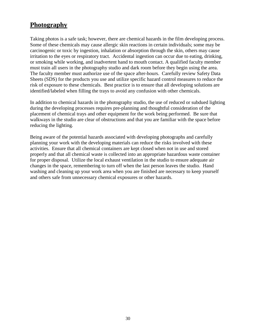# **Photography**

Taking photos is a safe task; however, there are chemical hazards in the film developing process. Some of these chemicals may cause allergic skin reactions in certain individuals; some may be carcinogenic or toxic by ingestion, inhalation or absorption through the skin, others may cause irritation to the eyes or respiratory tract. Accidental ingestion can occur due to eating, drinking, or smoking while working, and inadvertent hand to mouth contact. A qualified faculty member must train all users in the photography studio and dark room before they begin using the area. The faculty member must authorize use of the space after-hours. Carefully review Safety Data Sheets (SDS) for the products you use and utilize specific hazard control measures to reduce the risk of exposure to these chemicals. Best practice is to ensure that all developing solutions are identified/labeled when filling the trays to avoid any confusion with other chemicals.

In addition to chemical hazards in the photography studio, the use of reduced or subdued lighting during the developing processes requires pre-planning and thoughtful consideration of the placement of chemical trays and other equipment for the work being performed. Be sure that walkways in the studio are clear of obstructions and that you are familiar with the space before reducing the lighting.

Being aware of the potential hazards associated with developing photographs and carefully planning your work with the developing materials can reduce the risks involved with these activities. Ensure that all chemical containers are kept closed when not in use and stored properly and that all chemical waste is collected into an appropriate hazardous waste container for proper disposal. Utilize the local exhaust ventilation in the studio to ensure adequate air changes in the space, remembering to turn off when the last person leaves the studio. Hand washing and cleaning up your work area when you are finished are necessary to keep yourself and others safe from unnecessary chemical exposures or other hazards.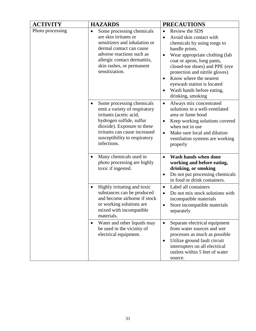| <b>ACTIVITY</b>  | <b>HAZARDS</b>                                                                                                                                                                                                                           | <b>PRECAUTIONS</b>                                                                                                                                                                                                                                                                                                                                    |
|------------------|------------------------------------------------------------------------------------------------------------------------------------------------------------------------------------------------------------------------------------------|-------------------------------------------------------------------------------------------------------------------------------------------------------------------------------------------------------------------------------------------------------------------------------------------------------------------------------------------------------|
| Photo processing | Some processing chemicals<br>$\bullet$<br>are skin irritants or<br>sensitizers and inhalation or<br>dermal contact can cause<br>adverse reactions such as<br>allergic contact dermatitis,<br>skin rashes, or permanent<br>sensitization. | Review the SDS<br>$\bullet$<br>Avoid skin contact with<br>chemicals by using tongs to<br>handle prints.<br>Wear appropriate clothing (lab<br>coat or apron, long pants,<br>closed-toe shoes) and PPE (eye<br>protection and nitrile gloves)<br>Know where the nearest<br>eyewash station is located<br>Wash hands before eating,<br>drinking, smoking |
|                  | Some processing chemicals<br>emit a variety of respiratory<br>irritants (acetic acid,<br>hydrogen sulfide, sulfur<br>dioxide). Exposure to these<br>irritants can cause increased<br>susceptibility to respiratory<br>infections.        | Always mix concentrated<br>$\bullet$<br>solutions in a well-ventilated<br>area or fume hood<br>Keep working solutions covered<br>$\bullet$<br>when not in use<br>Make sure local and dilution<br>$\bullet$<br>ventilation systems are working<br>properly                                                                                             |
|                  | Many chemicals used in<br>$\bullet$<br>photo processing are highly<br>toxic if ingested.                                                                                                                                                 | Wash hands when done<br>$\bullet$<br>working and before eating,<br>drinking, or smoking<br>Do not put processing chemicals<br>$\bullet$<br>in food or drink containers.                                                                                                                                                                               |
|                  | Highly irritating and toxic<br>$\bullet$<br>substances can be produced<br>and become airborne if stock<br>or working solutions are<br>mixed with incompatible<br>materials.                                                              | Label all containers<br>$\bullet$<br>Do not mix stock solutions with<br>incompatible materials<br>Store incompatible materials<br>separately                                                                                                                                                                                                          |
|                  | Water and other liquids may<br>be used in the vicinity of<br>electrical equipment.                                                                                                                                                       | Separate electrical equipment<br>from water sources and wet<br>processes as much as possible<br>Utilize ground fault circuit<br>interrupters on all electrical<br>outlets within 5 feet of water<br>source.                                                                                                                                           |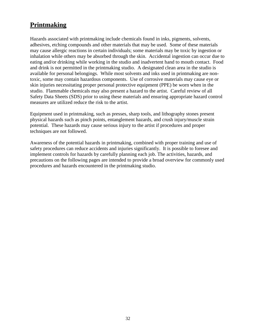# **Printmaking**

Hazards associated with printmaking include chemicals found in inks, pigments, solvents, adhesives, etching compounds and other materials that may be used. Some of these materials may cause allergic reactions in certain individuals; some materials may be toxic by ingestion or inhalation while others may be absorbed through the skin. Accidental ingestion can occur due to eating and/or drinking while working in the studio and inadvertent hand to mouth contact. Food and drink is not permitted in the printmaking studio. A designated clean area in the studio is available for personal belongings. While most solvents and inks used in printmaking are nontoxic, some may contain hazardous components. Use of corrosive materials may cause eye or skin injuries necessitating proper personal protective equipment (PPE) be worn when in the studio. Flammable chemicals may also present a hazard to the artist. Careful review of all Safety Data Sheets (SDS) prior to using these materials and ensuring appropriate hazard control measures are utilized reduce the risk to the artist.

Equipment used in printmaking, such as presses, sharp tools, and lithography stones present physical hazards such as pinch points, entanglement hazards, and crush injury/muscle strain potential. These hazards may cause serious injury to the artist if procedures and proper techniques are not followed.

Awareness of the potential hazards in printmaking, combined with proper training and use of safety procedures can reduce accidents and injuries significantly. It is possible to foresee and implement controls for hazards by carefully planning each job. The activities, hazards, and precautions on the following pages are intended to provide a broad overview for commonly used procedures and hazards encountered in the printmaking studio.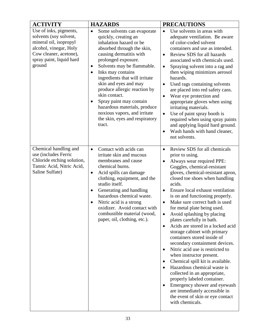| <b>ACTIVITY</b>                                                                                                                                                      | <b>HAZARDS</b>                                                                                                                                                                                                                                                                                                                                                                                                                                                                                              | <b>PRECAUTIONS</b>                                                                                                                                                                                                                                                                                                                                                                                                                                                                                                                                                                                                                                                                                                                                                                                                                                                                                                                                                      |
|----------------------------------------------------------------------------------------------------------------------------------------------------------------------|-------------------------------------------------------------------------------------------------------------------------------------------------------------------------------------------------------------------------------------------------------------------------------------------------------------------------------------------------------------------------------------------------------------------------------------------------------------------------------------------------------------|-------------------------------------------------------------------------------------------------------------------------------------------------------------------------------------------------------------------------------------------------------------------------------------------------------------------------------------------------------------------------------------------------------------------------------------------------------------------------------------------------------------------------------------------------------------------------------------------------------------------------------------------------------------------------------------------------------------------------------------------------------------------------------------------------------------------------------------------------------------------------------------------------------------------------------------------------------------------------|
| Use of inks, pigments,<br>solvents (soy solvent,<br>mineral oil, isopropyl<br>alcohol, vinegar, Holy<br>Cow cleaner, acetone),<br>spray paint, liquid hard<br>ground | Some solvents can evaporate<br>$\bullet$<br>quickly, creating an<br>inhalation hazard or be<br>absorbed through the skin,<br>causing dermatitis with<br>prolonged exposure.<br>Solvents may be flammable.<br>$\bullet$<br>Inks may contains<br>ingredients that will irritate<br>skin and eyes and may<br>produce allergic reaction by<br>skin contact.<br>Spray paint may contain<br>$\bullet$<br>hazardous materials, produce<br>noxious vapors, and irritate<br>the skin, eyes and respiratory<br>tract. | Use solvents in areas with<br>$\bullet$<br>adequate ventilation. Be aware<br>of color-coded solvent<br>containers and use as intended.<br>Review SDS for all hazards<br>$\bullet$<br>associated with chemicals used.<br>Spraying solvent into a rag and<br>$\bullet$<br>then wiping minimizes aerosol<br>hazards.<br>Used rags containing solvents<br>$\bullet$<br>are placed into red safety cans.<br>Wear eye protection and<br>$\bullet$<br>appropriate gloves when using<br>irritating materials.<br>Use of paint spray booth is<br>$\bullet$<br>required when using spray paints<br>and applying liquid hard ground.<br>Wash hands with hand cleaner,<br>not solvents.                                                                                                                                                                                                                                                                                             |
| Chemical handling and<br>use (includes Ferric<br>Chloride etching solution,<br>Tannic Acid, Nitric Acid,<br>Saline Sulfate)                                          | Contact with acids can<br>$\bullet$<br>irritate skin and mucous<br>membranes and cause<br>chemical burns.<br>Acid spills can damage<br>$\bullet$<br>clothing, equipment, and the<br>studio itself.<br>Generating and handling<br>$\bullet$<br>hazardous chemical waste.<br>Nitric acid is a strong<br>$\bullet$<br>oxidizer. Avoid contact with<br>combustible material (wood,<br>paper, oil, clothing, etc.).                                                                                              | Review SDS for all chemicals<br>$\bullet$<br>prior to using.<br>Always wear required PPE:<br>$\bullet$<br>Goggles, chemical-resistant<br>gloves, chemical-resistant apron,<br>closed toe shoes when handling<br>acids.<br>Ensure local exhaust ventilation<br>$\bullet$<br>is on and functioning properly.<br>Make sure correct bath is used<br>$\bullet$<br>for metal plate being used.<br>Avoid splashing by placing<br>$\bullet$<br>plates carefully in bath.<br>Acids are stored in a locked acid<br>$\bullet$<br>storage cabinet with primary<br>containers stored inside of<br>secondary containment devices.<br>Nitric acid use is restricted to<br>when instructor present.<br>Chemical spill kit is available.<br>$\bullet$<br>Hazardous chemical waste is<br>collected in an appropriate,<br>properly labeled container.<br>Emergency shower and eyewash<br>$\bullet$<br>are immediately accessible in<br>the event of skin or eye contact<br>with chemicals. |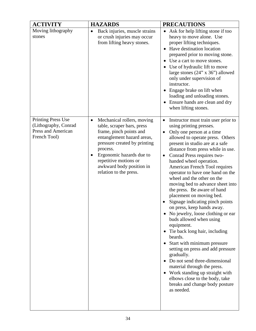| <b>ACTIVITY</b>                                                                                | <b>HAZARDS</b>                                                                                                                                                                                                                                                                                     | <b>PRECAUTIONS</b>                                                                                                                                                                                                                                                                                                                                                                                                                                                                                                                                                                                                                                                                                                                                                                                                                                                                                                                                                  |
|------------------------------------------------------------------------------------------------|----------------------------------------------------------------------------------------------------------------------------------------------------------------------------------------------------------------------------------------------------------------------------------------------------|---------------------------------------------------------------------------------------------------------------------------------------------------------------------------------------------------------------------------------------------------------------------------------------------------------------------------------------------------------------------------------------------------------------------------------------------------------------------------------------------------------------------------------------------------------------------------------------------------------------------------------------------------------------------------------------------------------------------------------------------------------------------------------------------------------------------------------------------------------------------------------------------------------------------------------------------------------------------|
| Moving lithography<br>stones                                                                   | Back injuries, muscle strains<br>$\bullet$<br>or crush injuries may occur<br>from lifting heavy stones.                                                                                                                                                                                            | Ask for help lifting stone if too<br>heavy to move alone. Use<br>proper lifting techniques.<br>Have destination location<br>prepared prior to moving stone.<br>Use a cart to move stones.<br>Use of hydraulic lift to move<br>large stones $(24" \times 36")$ allowed<br>only under supervision of<br>instructor.<br>Engage brake on lift when<br>loading and unloading stones.<br>Ensure hands are clean and dry<br>when lifting stones.                                                                                                                                                                                                                                                                                                                                                                                                                                                                                                                           |
| <b>Printing Press Use</b><br>(Lithography, Conrad<br><b>Press and American</b><br>French Tool) | Mechanical rollers, moving<br>$\bullet$<br>table, scraper bars, press<br>frame, pinch points and<br>entanglement hazard areas,<br>pressure created by printing<br>process.<br>Ergonomic hazards due to<br>$\bullet$<br>repetitive motions or<br>awkward body position in<br>relation to the press. | Instructor must train user prior to<br>using printing presses.<br>Only one person at a time<br>$\bullet$<br>allowed to operate press. Others<br>present in studio are at a safe<br>distance from press while in use.<br>Conrad Press requires two-<br>$\bullet$<br>handed wheel operation.<br>American French Tool requires<br>operator to have one hand on the<br>wheel and the other on the<br>moving bed to advance sheet into<br>the press. Be aware of hand<br>placement on moving bed.<br>Signage indicating pinch points<br>on press, keep hands away.<br>• No jewelry, loose clothing or ear<br>buds allowed when using<br>equipment.<br>Tie back long hair, including<br>beards.<br>Start with minimum pressure<br>setting on press and add pressure<br>gradually.<br>• Do not send three-dimensional<br>material through the press.<br>• Work standing up straight with<br>elbows close to the body, take<br>breaks and change body posture<br>as needed. |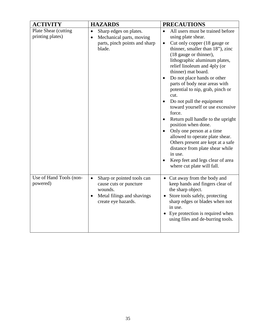| <b>ACTIVITY</b>                          | <b>HAZARDS</b>                                                                                                                    | <b>PRECAUTIONS</b>                                                                                                                                                                                                                                                                                                                                                                                                                                                                                                                                                                                                                                                                                                                                          |
|------------------------------------------|-----------------------------------------------------------------------------------------------------------------------------------|-------------------------------------------------------------------------------------------------------------------------------------------------------------------------------------------------------------------------------------------------------------------------------------------------------------------------------------------------------------------------------------------------------------------------------------------------------------------------------------------------------------------------------------------------------------------------------------------------------------------------------------------------------------------------------------------------------------------------------------------------------------|
| Plate Shear (cutting<br>printing plates) | Sharp edges on plates.<br>$\bullet$<br>Mechanical parts, moving<br>$\bullet$<br>parts, pinch points and sharp<br>blade.           | All users must be trained before<br>using plate shear.<br>Cut only copper (18 gauge or<br>$\bullet$<br>thinner, smaller than 18"), zinc<br>(18 gauge or thinner),<br>lithographic aluminum plates,<br>relief linoleum and 4ply (or<br>thinner) mat board.<br>Do not place hands or other<br>$\bullet$<br>parts of body near areas with<br>potential to nip, grab, pinch or<br>cut.<br>Do not pull the equipment<br>toward yourself or use excessive<br>force.<br>Return pull handle to the upright<br>position when done.<br>Only one person at a time<br>$\bullet$<br>allowed to operate plate shear.<br>Others present are kept at a safe<br>distance from plate shear while<br>in use.<br>Keep feet and legs clear of area<br>where cut plate will fall. |
| Use of Hand Tools (non-<br>powered)      | Sharp or pointed tools can<br>$\bullet$<br>cause cuts or puncture<br>wounds.<br>Metal filings and shavings<br>create eye hazards. | • Cut away from the body and<br>keep hands and fingers clear of<br>the sharp object.<br>Store tools safely, protecting<br>sharp edges or blades when not<br>in use.<br>Eye protection is required when<br>$\bullet$<br>using files and de-burring tools.                                                                                                                                                                                                                                                                                                                                                                                                                                                                                                    |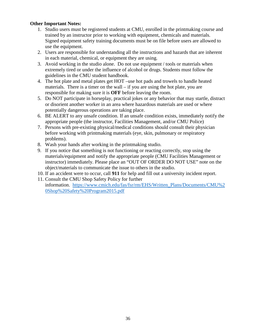### **Other Important Notes:**

- 1. Studio users must be registered students at CMU, enrolled in the printmaking course and trained by an instructor prior to working with equipment, chemicals and materials. Signed equipment safety training documents must be on file before users are allowed to use the equipment.
- 2. Users are responsible for understanding all the instructions and hazards that are inherent in each material, chemical, or equipment they are using.
- 3. Avoid working in the studio alone. Do not use equipment / tools or materials when extremely tired or under the influence of alcohol or drugs. Students must follow the guidelines in the CMU student handbook.
- 4. The hot plate and metal plates get HOT –use hot pads and trowels to handle heated materials. There is a timer on the wall  $-$  if you are using the hot plate, you are responsible for making sure it is **OFF** before leaving the room.
- 5. Do NOT participate in horseplay, practical jokes or any behavior that may startle, distract or disorient another worker in an area where hazardous materials are used or where potentially dangerous operations are taking place.
- 6. BE ALERT to any unsafe condition. If an unsafe condition exists, immediately notify the appropriate people (the instructor, Facilities Management, and/or CMU Police)
- 7. Persons with pre-existing physical/medical conditions should consult their physician before working with printmaking materials (eye, skin, pulmonary or respiratory problems).
- 8. Wash your hands after working in the printmaking studio.
- 9. If you notice that something is not functioning or reacting correctly, stop using the materials/equipment and notify the appropriate people (CMU Facilities Management or instructor) immediately. Please place an "OUT OF ORDER DO NOT USE" note on the object/materials to communicate the issue to others in the studio.
- 10. If an accident were to occur, call **911** for help and fill out a university incident report.
- 11. Consult the CMU Shop Safety Policy for further information. [https://www.cmich.edu/fas/fsr/rm/EHS/Written\\_Plans/Documents/CMU%2](https://www.cmich.edu/fas/fsr/rm/EHS/Written_Plans/Documents/CMU%20Shop%20Safety%20Program2015.pdf) [0Shop%20Safety%20Program2015.pdf](https://www.cmich.edu/fas/fsr/rm/EHS/Written_Plans/Documents/CMU%20Shop%20Safety%20Program2015.pdf)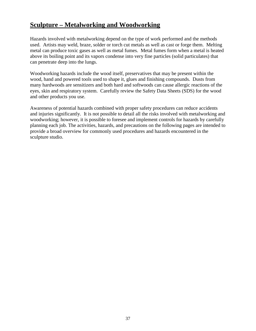### **Sculpture – Metalworking and Woodworking**

Hazards involved with metalworking depend on the type of work performed and the methods used. Artists may weld, braze, solder or torch cut metals as well as cast or forge them. Melting metal can produce toxic gases as well as metal fumes. Metal fumes form when a metal is heated above its boiling point and its vapors condense into very fine particles (solid particulates) that can penetrate deep into the lungs.

Woodworking hazards include the wood itself, preservatives that may be present within the wood, hand and powered tools used to shape it, glues and finishing compounds. Dusts from many hardwoods are sensitizers and both hard and softwoods can cause allergic reactions of the eyes, skin and respiratory system. Carefully review the Safety Data Sheets (SDS) for the wood and other products you use.

Awareness of potential hazards combined with proper safety procedures can reduce accidents and injuries significantly. It is not possible to detail all the risks involved with metalworking and woodworking; however, it is possible to foresee and implement controls for hazards by carefully planning each job. The activities, hazards, and precautions on the following pages are intended to provide a broad overview for commonly used procedures and hazards encountered in the sculpture studio.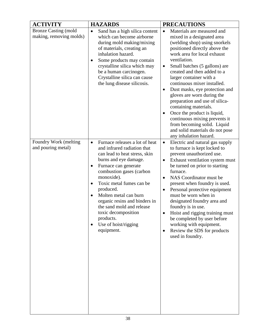| <b>ACTIVITY</b>                                        | <b>HAZARDS</b>                                                                                                                                                                                                                                                                                                                                                                                                   | <b>PRECAUTIONS</b>                                                                                                                                                                                                                                                                                                                                                                                                                                                                                                                                                                                                                |
|--------------------------------------------------------|------------------------------------------------------------------------------------------------------------------------------------------------------------------------------------------------------------------------------------------------------------------------------------------------------------------------------------------------------------------------------------------------------------------|-----------------------------------------------------------------------------------------------------------------------------------------------------------------------------------------------------------------------------------------------------------------------------------------------------------------------------------------------------------------------------------------------------------------------------------------------------------------------------------------------------------------------------------------------------------------------------------------------------------------------------------|
| <b>Bronze Casting (mold</b><br>making, removing molds) | Sand has a high silica content<br>$\bullet$<br>which can become airborne<br>during mold making/mixing<br>of materials, creating an<br>inhalation hazard.<br>Some products may contain<br>crystalline silica which may<br>be a human carcinogen.<br>Crystalline silica can cause<br>the lung disease silicosis.                                                                                                   | Materials are measured and<br>$\bullet$<br>mixed in a designated area<br>(welding shop) using snorkels<br>positioned directly above the<br>work area for local exhaust<br>ventilation.<br>Small batches (5 gallons) are<br>$\bullet$<br>created and then added to a<br>larger container with a<br>continuous mixer installed.<br>Dust masks, eye protection and<br>$\bullet$<br>gloves are worn during the<br>preparation and use of silica-<br>containing materials.<br>Once the product is liquid,<br>continuous mixing prevents it<br>from becoming solid. Liquid<br>and solid materials do not pose<br>any inhalation hazard. |
| Foundry Work (melting<br>and pouring metal)            | Furnace releases a lot of heat<br>$\bullet$<br>and infrared radiation that<br>can lead to heat stress, skin<br>burns and eye damage.<br>Furnace can generate<br>combustion gases (carbon<br>monoxide).<br>Toxic metal fumes can be<br>produced.<br>Molten metal can burn<br>organic resins and binders in<br>the sand mold and release<br>toxic decomposition<br>products.<br>Use of hoist/rigging<br>equipment. | Electric and natural gas supply<br>$\bullet$<br>to furnace is kept locked to<br>prevent unauthorized use.<br>Exhaust ventilation system must<br>$\bullet$<br>be turned on prior to starting<br>furnace.<br>NAS Coordinator must be<br>$\bullet$<br>present when foundry is used.<br>Personal protective equipment<br>$\bullet$<br>must be worn when in<br>designated foundry area and<br>foundry is in use.<br>Hoist and rigging training must<br>be completed by user before<br>working with equipment.<br>Review the SDS for products<br>used in foundry.                                                                       |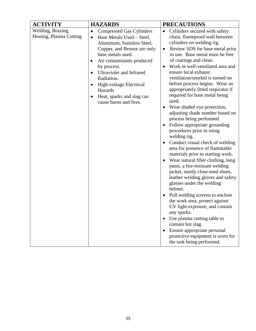| <b>ACTIVITY</b>                              | <b>HAZARDS</b>                                                                                                                                                                                                                                                                                                                                              | <b>PRECAUTIONS</b>                                                                                                                                                                                                                                                                                                                                                                                                                                                                                                                                                                                                                                                                                                                                                                                                                                                                                                                                                                                                                                                                                                                                                  |
|----------------------------------------------|-------------------------------------------------------------------------------------------------------------------------------------------------------------------------------------------------------------------------------------------------------------------------------------------------------------------------------------------------------------|---------------------------------------------------------------------------------------------------------------------------------------------------------------------------------------------------------------------------------------------------------------------------------------------------------------------------------------------------------------------------------------------------------------------------------------------------------------------------------------------------------------------------------------------------------------------------------------------------------------------------------------------------------------------------------------------------------------------------------------------------------------------------------------------------------------------------------------------------------------------------------------------------------------------------------------------------------------------------------------------------------------------------------------------------------------------------------------------------------------------------------------------------------------------|
| Welding, Brazing,<br>Heating, Plasma Cutting | <b>Compressed Gas Cylinders</b><br>$\bullet$<br>Base Metals Used - Steel,<br>$\bullet$<br>Aluminum, Stainless Steel,<br>Copper, and Bronze are only<br>base metals used.<br>Air contaminants produced<br>by process.<br>Ultraviolet and Infrared<br>Radiation.<br>High-voltage Electrical<br>Hazards<br>Heat, sparks and slag can<br>cause burns and fires. | Cylinders secured with safety<br>$\bullet$<br>chain, flameproof wall between<br>cylinders on welding rig.<br>Review SDS for base metal prior<br>$\bullet$<br>to use. Base metal must be free<br>of coatings and clean.<br>Work in well-ventilated area and<br>ensure local exhaust<br>ventilation/snorkel is turned on<br>before process begins. Wear an<br>appropriately fitted respirator if<br>required for base metal being<br>used.<br>Wear shaded eye protection,<br>adjusting shade number based on<br>process being performed.<br>Follow appropriate grounding<br>procedures prior to using<br>welding rig.<br>Conduct visual check of welding<br>area for presence of flammable<br>materials prior to starting work.<br>Wear natural fiber clothing, long<br>pants, a fire-resistant welding<br>jacket, sturdy close-toed shoes,<br>leather welding gloves and safety<br>glasses under the welding<br>helmet.<br>Pull welding screens to enclose<br>the work area, protect against<br>UV light exposure, and contain<br>any sparks.<br>Use plasma cutting table to<br>contain hot slag.<br>Ensure appropriate personal<br>protective equipment is worn for |
|                                              |                                                                                                                                                                                                                                                                                                                                                             | the task being performed.                                                                                                                                                                                                                                                                                                                                                                                                                                                                                                                                                                                                                                                                                                                                                                                                                                                                                                                                                                                                                                                                                                                                           |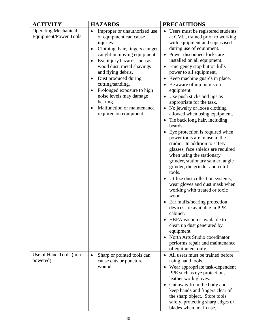| <b>ACTIVITY</b>                                             | <b>HAZARDS</b>                                                                                                                                                                                                                                                                                                                                                                                               | <b>PRECAUTIONS</b>                                                                                                                                                                                                                                                                                                                                                                                                                                                                                                                                                                                                                                                                                                                                                                                                                                                                                                                                                                                                                                                                                                                                     |
|-------------------------------------------------------------|--------------------------------------------------------------------------------------------------------------------------------------------------------------------------------------------------------------------------------------------------------------------------------------------------------------------------------------------------------------------------------------------------------------|--------------------------------------------------------------------------------------------------------------------------------------------------------------------------------------------------------------------------------------------------------------------------------------------------------------------------------------------------------------------------------------------------------------------------------------------------------------------------------------------------------------------------------------------------------------------------------------------------------------------------------------------------------------------------------------------------------------------------------------------------------------------------------------------------------------------------------------------------------------------------------------------------------------------------------------------------------------------------------------------------------------------------------------------------------------------------------------------------------------------------------------------------------|
| <b>Operating Mechanical</b><br><b>Equipment/Power Tools</b> | Improper or unauthorized use<br>$\bullet$<br>of equipment can cause<br>injuries.<br>Clothing, hair, fingers can get<br>caught in moving equipment.<br>Eye injury hazards such as<br>wood dust, metal shavings<br>and flying debris.<br>Dust produced during<br>cutting/sanding.<br>Prolonged exposure to high<br>noise levels may damage<br>hearing.<br>Malfunction or maintenance<br>required on equipment. | Users must be registered students<br>$\bullet$<br>at CMU, trained prior to working<br>with equipment and supervised<br>during use of equipment.<br>• Power disconnect locks are<br>installed on all equipment.<br>Emergency stop button kills<br>power to all equipment.<br>Keep machine guards in place.<br>Be aware of nip points on<br>equipment.<br>Use push sticks and jigs as<br>appropriate for the task.<br>No jewelry or loose clothing<br>allowed when using equipment.<br>Tie back long hair, including<br>beards.<br>Eye protection is required when<br>power tools are in use in the<br>studio. In addition to safety<br>glasses, face shields are required<br>when using the stationary<br>grinder, stationary sander, angle<br>grinder, die grinder and cutoff<br>tools.<br>Utilize dust collection systems,<br>wear gloves and dust mask when<br>working with treated or toxic<br>wood.<br>Ear muffs/hearing protection<br>devices are available in PPE<br>cabinet.<br>HEPA vacuums available to<br>clean up dust generated by<br>equipment.<br>North Arts Studio coordinator<br>performs repair and maintenance<br>of equipment only. |
| Use of Hand Tools (non-<br>powered)                         | Sharp or pointed tools can<br>$\bullet$<br>cause cuts or puncture<br>wounds.                                                                                                                                                                                                                                                                                                                                 | • All users must be trained before<br>using hand tools.<br>Wear appropriate task-dependent<br>$\bullet$<br>PPE such as eye protection,<br>leather work gloves.<br>Cut away from the body and<br>$\bullet$<br>keep hands and fingers clear of<br>the sharp object. Store tools<br>safely, protecting sharp edges or<br>blades when not in use.                                                                                                                                                                                                                                                                                                                                                                                                                                                                                                                                                                                                                                                                                                                                                                                                          |